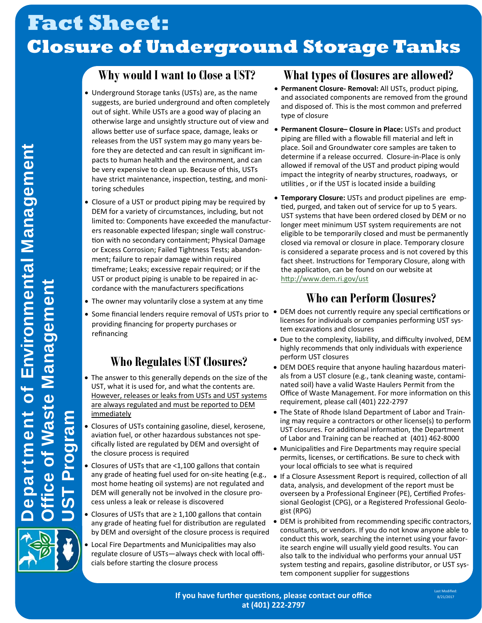# **Fact Sheet: Closure of Underground Storage Tanks**

### **Why would I want to Close a UST?**

- Underground Storage tanks (USTs) are, as the name suggests, are buried underground and often completely out of sight. While USTs are a good way of placing an otherwise large and unsightly structure out of view and allows better use of surface space, damage, leaks or releases from the UST system may go many years before they are detected and can result in significant impacts to human health and the environment, and can be very expensive to clean up. Because of this, USTs have strict maintenance, inspection, testing, and monitoring schedules
- Closure of a UST or product piping may be required by DEM for a variety of circumstances, including, but not limited to: Components have exceeded the manufacturers reasonable expected lifespan; single wall construction with no secondary containment; Physical Damage or Excess Corrosion; Failed Tightness Tests; abandonment; failure to repair damage within required timeframe; Leaks; excessive repair required; or if the UST or product piping is unable to be repaired in accordance with the manufacturers specifications
- The owner may voluntarily close a system at any time
- Some financial lenders require removal of USTs prior to providing financing for property purchases or refinancing

### **Who Regulates UST Closures?**

- The answer to this generally depends on the size of the UST, what it is used for, and what the contents are. However, releases or leaks from USTs and UST systems are always regulated and must be reported to DEM immediately
- Closures of USTs containing gasoline, diesel, kerosene, aviation fuel, or other hazardous substances not specifically listed are regulated by DEM and oversight of the closure process is required
- Closures of USTs that are <1,100 gallons that contain any grade of heating fuel used for on-site heating (e.g., most home heating oil systems) are not regulated and DEM will generally not be involved in the closure process unless a leak or release is discovered
- Closures of USTs that are ≥ 1,100 gallons that contain any grade of heating fuel for distribution are regulated by DEM and oversight of the closure process is required
- Local Fire Departments and Municipalities may also regulate closure of USTs—always check with local officials before starting the closure process

### **What types of Closures are allowed?**

- **Permanent Closure‐ Removal:** All USTs, product piping, and associated components are removed from the ground and disposed of. This is the most common and preferred type of closure
- **Permanent Closure– Closure in Place:** USTs and product piping are filled with a flowable fill material and left in place. Soil and Groundwater core samples are taken to determine if a release occurred. Closure-in-Place is only allowed if removal of the UST and product piping would impact the integrity of nearby structures, roadways, or utilities, or if the UST is located inside a building
- **Temporary Closure:** USTs and product pipelines are emptied, purged, and taken out of service for up to 5 years. UST systems that have been ordered closed by DEM or no longer meet minimum UST system requirements are not eligible to be temporarily closed and must be permanently closed via removal or closure in place. Temporary closure is considered a separate process and is not covered by this fact sheet. Instructions for Temporary Closure, along with the application, can be found on our website at http://www.dem.ri.gov/ust

### **Who can Perform Closures?**

- DEM does not currently require any special certifications or licenses for individuals or companies performing UST system excavations and closures
- Due to the complexity, liability, and difficulty involved, DEM highly recommends that only individuals with experience perform UST closures
- DEM DOES require that anyone hauling hazardous materials from a UST closure (e.g., tank cleaning waste, contaminated soil) have a valid Waste Haulers Permit from the Office of Waste Management. For more information on this requirement, please call (401) 222-2797
- The State of Rhode Island Department of Labor and Training may require a contractors or other license(s) to perform UST closures. For additional information, the Department of Labor and Training can be reached at (401) 462-8000
- Municipalities and Fire Departments may require special permits, licenses, or certifications. Be sure to check with your local officials to see what is required
- If a Closure Assessment Report is required, collection of all data, analysis, and development of the report must be overseen by a Professional Engineer (PE), Certified Professional Geologist (CPG), or a Registered Professional Geologist (RPG)
- DEM is prohibited from recommending specific contractors, consultants, or vendors. If you do not know anyone able to conduct this work, searching the internet using your favorite search engine will usually yield good results. You can also talk to the individual who performs your annual UST system testing and repairs, gasoline distributor, or UST system component supplier for suggestions



UST Program